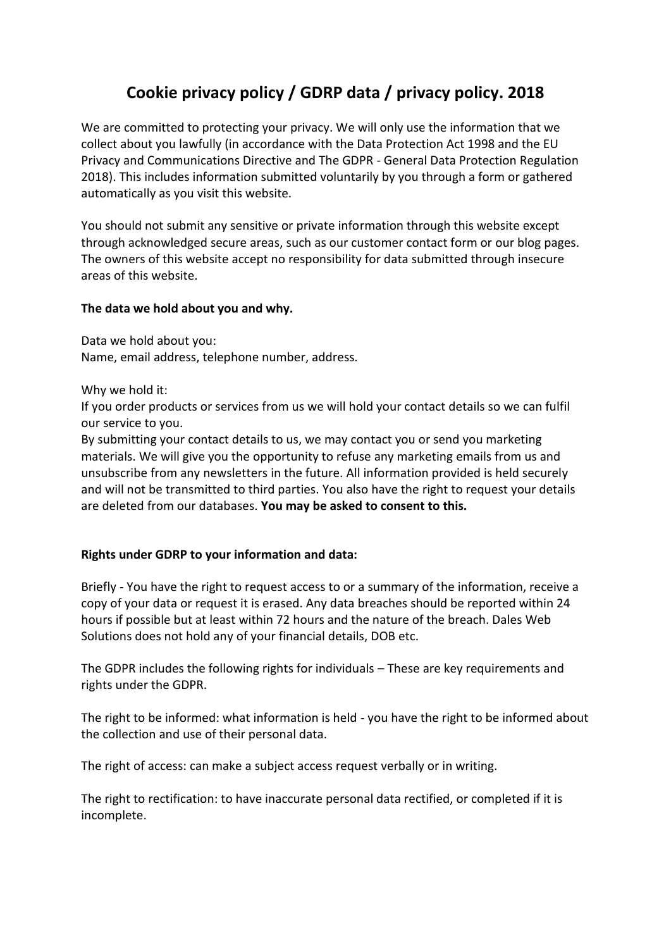# **Cookie privacy policy / GDRP data / privacy policy. 2018**

We are committed to protecting your privacy. We will only use the information that we collect about you lawfully (in accordance with the Data Protection Act 1998 and the EU Privacy and Communications Directive and The GDPR - General Data Protection Regulation 2018). This includes information submitted voluntarily by you through a form or gathered automatically as you visit this website.

You should not submit any sensitive or private information through this website except through acknowledged secure areas, such as our customer contact form or our blog pages. The owners of this website accept no responsibility for data submitted through insecure areas of this website.

### **The data we hold about you and why.**

Data we hold about you: Name, email address, telephone number, address.

Why we hold it:

If you order products or services from us we will hold your contact details so we can fulfil our service to you.

By submitting your contact details to us, we may contact you or send you marketing materials. We will give you the opportunity to refuse any marketing emails from us and unsubscribe from any newsletters in the future. All information provided is held securely and will not be transmitted to third parties. You also have the right to request your details are deleted from our databases. **You may be asked to consent to this.**

## **Rights under GDRP to your information and data:**

Briefly - You have the right to request access to or a summary of the information, receive a copy of your data or request it is erased. Any data breaches should be reported within 24 hours if possible but at least within 72 hours and the nature of the breach. Dales Web Solutions does not hold any of your financial details, DOB etc.

The GDPR includes the following rights for individuals – These are key requirements and rights under the GDPR.

The right to be informed: what information is held - you have the right to be informed about the collection and use of their personal data.

The right of access: can make a subject access request verbally or in writing.

The right to rectification: to have inaccurate personal data rectified, or completed if it is incomplete.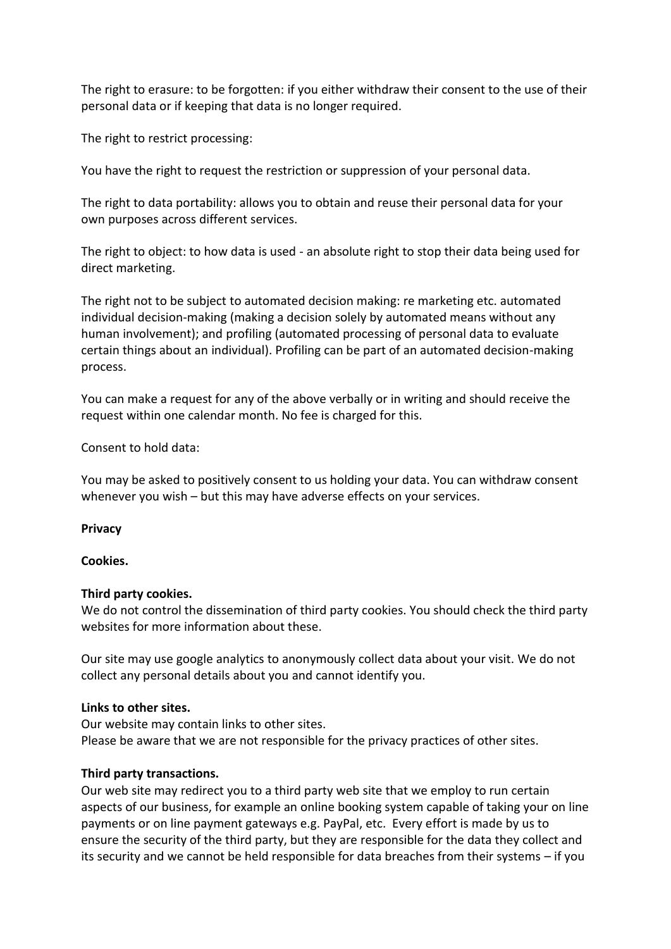The right to erasure: to be forgotten: if you either withdraw their consent to the use of their personal data or if keeping that data is no longer required.

The right to restrict processing:

You have the right to request the restriction or suppression of your personal data.

The right to data portability: allows you to obtain and reuse their personal data for your own purposes across different services.

The right to object: to how data is used - an absolute right to stop their data being used for direct marketing.

The right not to be subject to automated decision making: re marketing etc. automated individual decision-making (making a decision solely by automated means without any human involvement); and profiling (automated processing of personal data to evaluate certain things about an individual). Profiling can be part of an automated decision-making process.

You can make a request for any of the above verbally or in writing and should receive the request within one calendar month. No fee is charged for this.

Consent to hold data:

You may be asked to positively consent to us holding your data. You can withdraw consent whenever you wish – but this may have adverse effects on your services.

#### **Privacy**

#### **Cookies.**

#### **Third party cookies.**

We do not control the dissemination of third party cookies. You should check the third party websites for more information about these.

Our site may use google analytics to anonymously collect data about your visit. We do not collect any personal details about you and cannot identify you.

#### **Links to other sites.**

Our website may contain links to other sites. Please be aware that we are not responsible for the privacy practices of other sites.

#### **Third party transactions.**

Our web site may redirect you to a third party web site that we employ to run certain aspects of our business, for example an online booking system capable of taking your on line payments or on line payment gateways e.g. PayPal, etc. Every effort is made by us to ensure the security of the third party, but they are responsible for the data they collect and its security and we cannot be held responsible for data breaches from their systems – if you